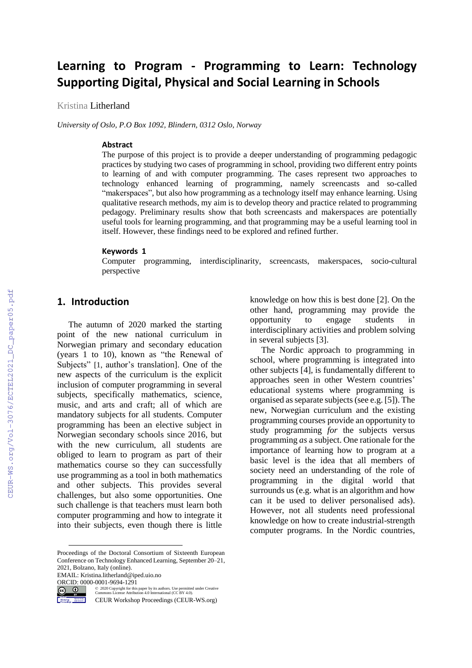# **Learning to Program - Programming to Learn: Technology Supporting Digital, Physical and Social Learning in Schools**

Kristina Litherland

*University of Oslo, P.O Box 1092, Blindern, 0312 Oslo, Norway*

#### **Abstract**

The purpose of this project is to provide a deeper understanding of programming pedagogic practices by studying two cases of programming in school, providing two different entry points to learning of and with computer programming. The cases represent two approaches to technology enhanced learning of programming, namely screencasts and so-called "makerspaces", but also how programming as a technology itself may enhance learning. Using qualitative research methods, my aim is to develop theory and practice related to programming pedagogy. Preliminary results show that both screencasts and makerspaces are potentially useful tools for learning programming, and that programming may be a useful learning tool in itself. However, these findings need to be explored and refined further.

#### **Keywords 1**

Computer programming, interdisciplinarity, screencasts, makerspaces, socio-cultural perspective

## **1. Introduction**

The autumn of 2020 marked the starting point of the new national curriculum in Norwegian primary and secondary education (years 1 to 10), known as "the Renewal of Subjects" [1, author's translation]. One of the new aspects of the curriculum is the explicit inclusion of computer programming in several subjects, specifically mathematics, science, music, and arts and craft; all of which are mandatory subjects for all students. Computer programming has been an elective subject in Norwegian secondary schools since 2016, but with the new curriculum, all students are obliged to learn to program as part of their mathematics course so they can successfully use programming as a tool in both mathematics and other subjects. This provides several challenges, but also some opportunities. One such challenge is that teachers must learn both computer programming and how to integrate it into their subjects, even though there is little

EMAIL: Kristina.litherland@iped.uio.no

©️ 2020 Copyright for this paper by its authors. Use permitted under Creative Commons License Attribution 4.0 International (CC BY 4.0).

CEUR Workshop Proceedings (CEUR-WS.org)

knowledge on how this is best done [2]. On the other hand, programming may provide the opportunity to engage students in interdisciplinary activities and problem solving in several subjects [3].

The Nordic approach to programming in school, where programming is integrated into other subjects [4], is fundamentally different to approaches seen in other Western countries' educational systems where programming is organised as separate subjects (see e.g. [5]). The new, Norwegian curriculum and the existing programming courses provide an opportunity to study programming *for* the subjects versus programming *as* a subject. One rationale for the importance of learning how to program at a basic level is the idea that all members of society need an understanding of the role of programming in the digital world that surrounds us (e.g. what is an algorithm and how can it be used to deliver personalised ads). However, not all students need professional knowledge on how to create industrial-strength computer programs. In the Nordic countries,

Proceedings of the Doctoral Consortium of Sixteenth European Conference on Technology Enhanced Learning, September 20–21, 2021, Bolzano, Italy (online).

ORCID: 0000-0001-9694-1291<br>  $\overline{G}$   $\overline{O}$   $\overline{O}$   $\overline{O}$   $\overline{O}$   $\overline{O}$   $\overline{O}$   $\overline{O}$   $\overline{O}$   $\overline{O}$   $\overline{O}$   $\overline{O}$   $\overline{O}$   $\overline{O}$   $\overline{O}$   $\overline{O}$   $\overline{O}$   $\overline{O}$   $\overline{O}$   $\overline{O}$   $\overline{O}$   $\overline$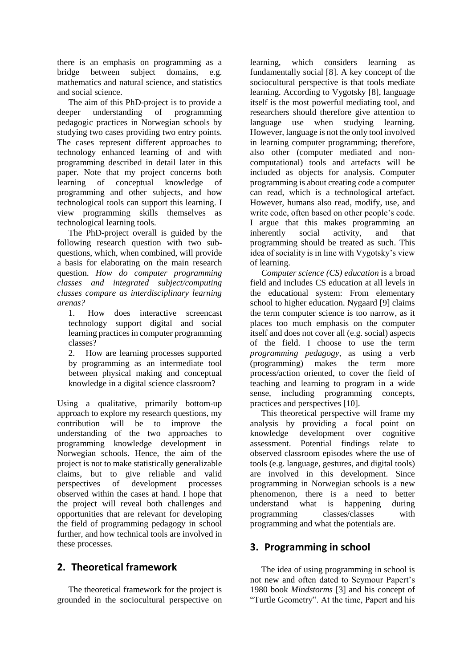there is an emphasis on programming as a bridge between subject domains, e.g. mathematics and natural science, and statistics and social science.

The aim of this PhD-project is to provide a deeper understanding of programming pedagogic practices in Norwegian schools by studying two cases providing two entry points. The cases represent different approaches to technology enhanced learning of and with programming described in detail later in this paper. Note that my project concerns both learning of conceptual knowledge of programming and other subjects, and how technological tools can support this learning. I view programming skills themselves as technological learning tools.

The PhD-project overall is guided by the following research question with two subquestions, which, when combined, will provide a basis for elaborating on the main research question. *How do computer programming classes and integrated subject/computing classes compare as interdisciplinary learning arenas?*

1. How does interactive screencast technology support digital and social learning practices in computer programming classes?

2. How are learning processes supported by programming as an intermediate tool between physical making and conceptual knowledge in a digital science classroom?

Using a qualitative, primarily bottom-up approach to explore my research questions, my contribution will be to improve the understanding of the two approaches to programming knowledge development in Norwegian schools. Hence, the aim of the project is not to make statistically generalizable claims, but to give reliable and valid perspectives of development processes observed within the cases at hand. I hope that the project will reveal both challenges and opportunities that are relevant for developing the field of programming pedagogy in school further, and how technical tools are involved in these processes.

# **2. Theoretical framework**

The theoretical framework for the project is grounded in the sociocultural perspective on learning, which considers learning as fundamentally social [8]. A key concept of the sociocultural perspective is that tools mediate learning. According to Vygotsky [8], language itself is the most powerful mediating tool, and researchers should therefore give attention to language use when studying learning. However, language is not the only tool involved in learning computer programming; therefore, also other (computer mediated and noncomputational) tools and artefacts will be included as objects for analysis. Computer programming is about creating code a computer can read, which is a technological artefact. However, humans also read, modify, use, and write code, often based on other people's code. I argue that this makes programming an inherently social activity, and that inherently social activity, and that programming should be treated as such. This idea of sociality is in line with Vygotsky's view of learning.

*Computer science (CS) education* is a broad field and includes CS education at all levels in the educational system: From elementary school to higher education. Nygaard [9] claims the term computer science is too narrow, as it places too much emphasis on the computer itself and does not cover all (e.g. social) aspects of the field. I choose to use the term *programming pedagogy,* as using a verb (programming) makes the term more process/action oriented, to cover the field of teaching and learning to program in a wide sense, including programming concepts, practices and perspectives [10].

This theoretical perspective will frame my analysis by providing a focal point on knowledge development over cognitive assessment. Potential findings relate to observed classroom episodes where the use of tools (e.g. language, gestures, and digital tools) are involved in this development. Since programming in Norwegian schools is a new phenomenon, there is a need to better understand what is happening during programming classes/classes with programming and what the potentials are.

### **3. Programming in school**

The idea of using programming in school is not new and often dated to Seymour Papert's 1980 book *Mindstorms* [3] and his concept of "Turtle Geometry". At the time, Papert and his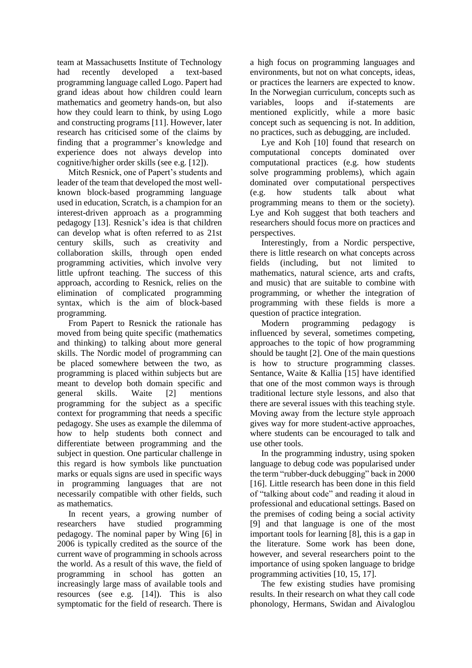team at Massachusetts Institute of Technology had recently developed a text-based programming language called Logo. Papert had grand ideas about how children could learn mathematics and geometry hands-on, but also how they could learn to think, by using Logo and constructing programs [11]. However, later research has criticised some of the claims by finding that a programmer's knowledge and experience does not always develop into cognitive/higher order skills (see e.g. [12]).

Mitch Resnick, one of Papert's students and leader of the team that developed the most wellknown block-based programming language used in education, Scratch, is a champion for an interest-driven approach as a programming pedagogy [13]. Resnick's idea is that children can develop what is often referred to as 21st century skills, such as creativity and collaboration skills, through open ended programming activities, which involve very little upfront teaching. The success of this approach, according to Resnick, relies on the elimination of complicated programming syntax, which is the aim of block-based programming.

From Papert to Resnick the rationale has moved from being quite specific (mathematics and thinking) to talking about more general skills. The Nordic model of programming can be placed somewhere between the two, as programming is placed within subjects but are meant to develop both domain specific and general skills. Waite [2] mentions programming for the subject as a specific context for programming that needs a specific pedagogy. She uses as example the dilemma of how to help students both connect and differentiate between programming and the subject in question. One particular challenge in this regard is how symbols like punctuation marks or equals signs are used in specific ways in programming languages that are not necessarily compatible with other fields, such as mathematics.

In recent years, a growing number of researchers have studied programming pedagogy. The nominal paper by Wing [6] in 2006 is typically credited as the source of the current wave of programming in schools across the world. As a result of this wave, the field of programming in school has gotten an increasingly large mass of available tools and resources (see e.g. [14]). This is also symptomatic for the field of research. There is

a high focus on programming languages and environments, but not on what concepts, ideas, or practices the learners are expected to know. In the Norwegian curriculum, concepts such as variables, loops and if-statements are mentioned explicitly, while a more basic concept such as sequencing is not. In addition, no practices, such as debugging, are included.

Lye and Koh [10] found that research on computational concepts dominated over computational practices (e.g. how students solve programming problems), which again dominated over computational perspectives (e.g. how students talk about what programming means to them or the society). Lye and Koh suggest that both teachers and researchers should focus more on practices and perspectives.

Interestingly, from a Nordic perspective, there is little research on what concepts across fields (including, but not limited to mathematics, natural science, arts and crafts, and music) that are suitable to combine with programming, or whether the integration of programming with these fields is more a question of practice integration.

Modern programming pedagogy is influenced by several, sometimes competing, approaches to the topic of how programming should be taught [2]. One of the main questions is how to structure programming classes. Sentance, Waite & Kallia [15] have identified that one of the most common ways is through traditional lecture style lessons, and also that there are several issues with this teaching style. Moving away from the lecture style approach gives way for more student-active approaches, where students can be encouraged to talk and use other tools.

In the programming industry, using spoken language to debug code was popularised under the term "rubber-duck debugging" back in 2000 [16]. Little research has been done in this field of "talking about code" and reading it aloud in professional and educational settings. Based on the premises of coding being a social activity [9] and that language is one of the most important tools for learning [8], this is a gap in the literature. Some work has been done, however, and several researchers point to the importance of using spoken language to bridge programming activities [10, 15, 17].

The few existing studies have promising results. In their research on what they call code phonology, Hermans, Swidan and Aivaloglou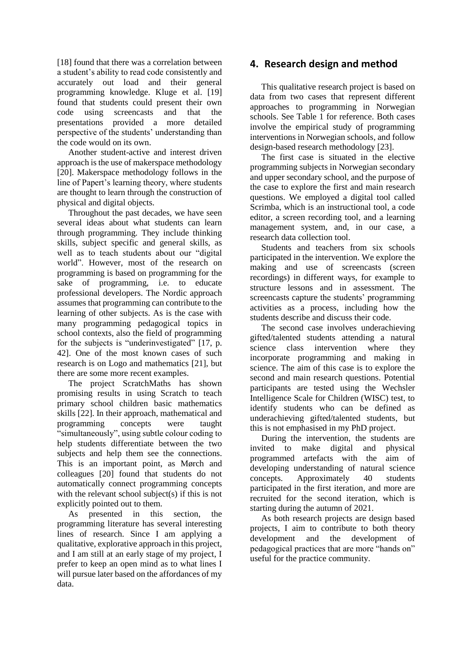[18] found that there was a correlation between a student's ability to read code consistently and accurately out load and their general programming knowledge. Kluge et al. [19] found that students could present their own code using screencasts and that the presentations provided a more detailed perspective of the students' understanding than the code would on its own.

Another student-active and interest driven approach is the use of makerspace methodology [20]. Makerspace methodology follows in the line of Papert's learning theory, where students are thought to learn through the construction of physical and digital objects.

Throughout the past decades, we have seen several ideas about what students can learn through programming. They include thinking skills, subject specific and general skills, as well as to teach students about our "digital world". However, most of the research on programming is based on programming for the sake of programming, i.e. to educate professional developers. The Nordic approach assumes that programming can contribute to the learning of other subjects. As is the case with many programming pedagogical topics in school contexts, also the field of programming for the subjects is "underinvestigated" [17, p. 42]. One of the most known cases of such research is on Logo and mathematics [21], but there are some more recent examples.

The project ScratchMaths has shown promising results in using Scratch to teach primary school children basic mathematics skills [22]. In their approach, mathematical and programming concepts were taught "simultaneously", using subtle colour coding to help students differentiate between the two subjects and help them see the connections. This is an important point, as Mørch and colleagues [20] found that students do not automatically connect programming concepts with the relevant school subject(s) if this is not explicitly pointed out to them.

As presented in this section, the programming literature has several interesting lines of research. Since I am applying a qualitative, explorative approach in this project, and I am still at an early stage of my project, I prefer to keep an open mind as to what lines I will pursue later based on the affordances of my data.

# **4. Research design and method**

This qualitative research project is based on data from two cases that represent different approaches to programming in Norwegian schools. See Table 1 for reference. Both cases involve the empirical study of programming interventions in Norwegian schools, and follow design-based research methodology [23].

The first case is situated in the elective programming subjects in Norwegian secondary and upper secondary school, and the purpose of the case to explore the first and main research questions. We employed a digital tool called Scrimba, which is an instructional tool, a code editor, a screen recording tool, and a learning management system, and, in our case, a research data collection tool.

Students and teachers from six schools participated in the intervention. We explore the making and use of screencasts (screen recordings) in different ways, for example to structure lessons and in assessment. The screencasts capture the students' programming activities as a process, including how the students describe and discuss their code.

The second case involves underachieving gifted/talented students attending a natural science class intervention where they incorporate programming and making in science. The aim of this case is to explore the second and main research questions. Potential participants are tested using the Wechsler Intelligence Scale for Children (WISC) test, to identify students who can be defined as underachieving gifted/talented students, but this is not emphasised in my PhD project.

During the intervention, the students are invited to make digital and physical programmed artefacts with the aim of developing understanding of natural science concepts. Approximately 40 students participated in the first iteration, and more are recruited for the second iteration, which is starting during the autumn of 2021.

As both research projects are design based projects, I aim to contribute to both theory development and the development of pedagogical practices that are more "hands on" useful for the practice community.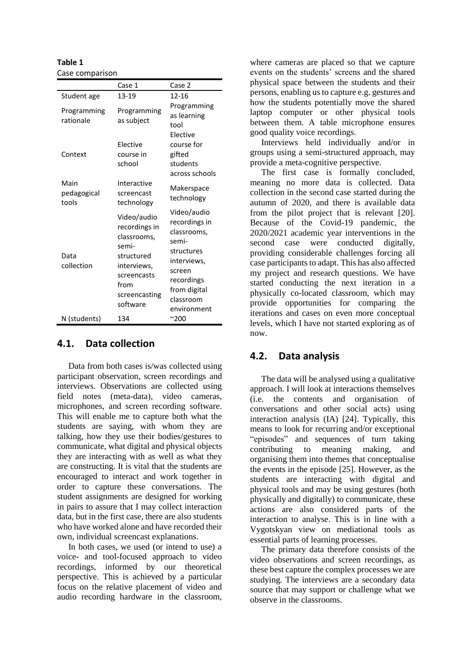**Table 1** Case comparison

|                              | Case 1                                                                                                                                | Case 2                                                                                                                                                |
|------------------------------|---------------------------------------------------------------------------------------------------------------------------------------|-------------------------------------------------------------------------------------------------------------------------------------------------------|
| Student age                  | 13-19                                                                                                                                 | $12 - 16$                                                                                                                                             |
| Programming<br>rationale     | Programming<br>as subject                                                                                                             | Programming<br>as learning<br>tool<br>Elective                                                                                                        |
| Context                      | Elective<br>course in<br>school                                                                                                       | course for<br>gifted<br>students<br>across schools                                                                                                    |
| Main<br>pedagogical<br>tools | Interactive<br>screencast<br>technology                                                                                               | Makerspace<br>technology                                                                                                                              |
| Data<br>collection           | Video/audio<br>recordings in<br>classrooms,<br>semi-<br>structured<br>interviews,<br>screencasts<br>from<br>screencasting<br>software | Video/audio<br>recordings in<br>classrooms,<br>semi-<br>structures<br>interviews,<br>screen<br>recordings<br>from digital<br>classroom<br>environment |
| N (students)                 | 134                                                                                                                                   | $^{\sim}$ 200                                                                                                                                         |

### **4.1. Data collection**

Data from both cases is/was collected using participant observation, screen recordings and interviews. Observations are collected using field notes (meta-data), video cameras, microphones, and screen recording software. This will enable me to capture both what the students are saying, with whom they are talking, how they use their bodies/gestures to communicate, what digital and physical objects they are interacting with as well as what they are constructing. It is vital that the students are encouraged to interact and work together in order to capture these conversations. The student assignments are designed for working in pairs to assure that I may collect interaction data, but in the first case, there are also students who have worked alone and have recorded their own, individual screencast explanations.

In both cases, we used (or intend to use) a voice- and tool-focused approach to video recordings, informed by our theoretical perspective. This is achieved by a particular focus on the relative placement of video and audio recording hardware in the classroom,

where cameras are placed so that we capture events on the students' screens and the shared physical space between the students and their persons, enabling us to capture e.g. gestures and how the students potentially move the shared laptop computer or other physical tools between them. A table microphone ensures good quality voice recordings.

Interviews held individually and/or in groups using a semi-structured approach, may provide a meta-cognitive perspective.

The first case is formally concluded, meaning no more data is collected. Data collection in the second case started during the autumn of 2020, and there is available data from the pilot project that is relevant [20]. Because of the Covid-19 pandemic, the 2020/2021 academic year interventions in the second case were conducted digitally, providing considerable challenges forcing all case participants to adapt. This has also affected my project and research questions. We have started conducting the next iteration in a physically co-located classroom, which may provide opportunities for comparing the iterations and cases on even more conceptual levels, which I have not started exploring as of now.

### **4.2. Data analysis**

The data will be analysed using a qualitative approach. I will look at interactions themselves (i.e. the contents and organisation of conversations and other social acts) using interaction analysis (IA) [24]. Typically, this means to look for recurring and/or exceptional "episodes" and sequences of turn taking contributing to meaning making, and organising them into themes that conceptualise the events in the episode [25]. However, as the students are interacting with digital and physical tools and may be using gestures (both physically and digitally) to communicate, these actions are also considered parts of the interaction to analyse. This is in line with a Vygotskyan view on mediational tools as essential parts of learning processes.

The primary data therefore consists of the video observations and screen recordings, as these best capture the complex processes we are studying. The interviews are a secondary data source that may support or challenge what we observe in the classrooms.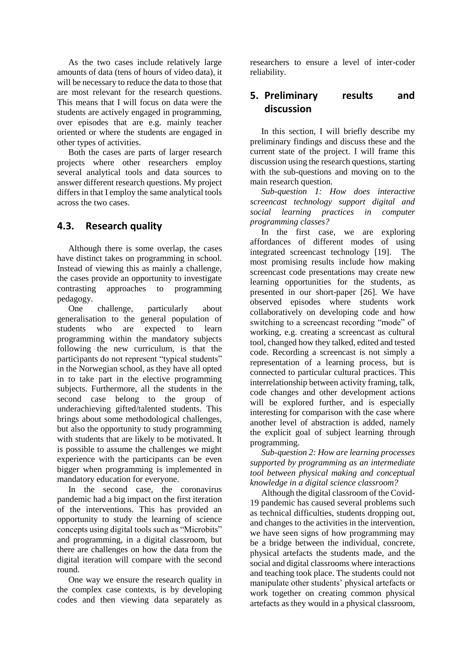As the two cases include relatively large amounts of data (tens of hours of video data), it will be necessary to reduce the data to those that are most relevant for the research questions. This means that I will focus on data were the students are actively engaged in programming, over episodes that are e.g. mainly teacher oriented or where the students are engaged in other types of activities.

Both the cases are parts of larger research projects where other researchers employ several analytical tools and data sources to answer different research questions. My project differs in that I employ the same analytical tools across the two cases.

### **4.3. Research quality**

Although there is some overlap, the cases have distinct takes on programming in school. Instead of viewing this as mainly a challenge, the cases provide an opportunity to investigate contrasting approaches to programming pedagogy.

One challenge, particularly about generalisation to the general population of students who are expected to learn programming within the mandatory subjects following the new curriculum, is that the participants do not represent "typical students" in the Norwegian school, as they have all opted in to take part in the elective programming subjects. Furthermore, all the students in the second case belong to the group of underachieving gifted/talented students. This brings about some methodological challenges, but also the opportunity to study programming with students that are likely to be motivated. It is possible to assume the challenges we might experience with the participants can be even bigger when programming is implemented in mandatory education for everyone.

In the second case, the coronavirus pandemic had a big impact on the first iteration of the interventions. This has provided an opportunity to study the learning of science concepts using digital tools such as "Microbits" and programming, in a digital classroom, but there are challenges on how the data from the digital iteration will compare with the second round.

One way we ensure the research quality in the complex case contexts, is by developing codes and then viewing data separately as

researchers to ensure a level of inter-coder reliability.

# **5. Preliminary results and discussion**

In this section, I will briefly describe my preliminary findings and discuss these and the current state of the project. I will frame this discussion using the research questions, starting with the sub-questions and moving on to the main research question.

*Sub-question 1: How does interactive screencast technology support digital and social learning practices in computer programming classes?* 

In the first case, we are exploring affordances of different modes of using integrated screencast technology [19]. The most promising results include how making screencast code presentations may create new learning opportunities for the students, as presented in our short-paper [26]. We have observed episodes where students work collaboratively on developing code and how switching to a screencast recording "mode" of working, e.g. creating a screencast as cultural tool, changed how they talked, edited and tested code. Recording a screencast is not simply a representation of a learning process, but is connected to particular cultural practices. This interrelationship between activity framing, talk, code changes and other development actions will be explored further, and is especially interesting for comparison with the case where another level of abstraction is added, namely the explicit goal of subject learning through programming.

*Sub-question 2: How are learning processes supported by programming as an intermediate tool between physical making and conceptual knowledge in a digital science classroom?*

Although the digital classroom of the Covid-19 pandemic has caused several problems such as technical difficulties, students dropping out, and changes to the activities in the intervention, we have seen signs of how programming may be a bridge between the individual, concrete, physical artefacts the students made, and the social and digital classrooms where interactions and teaching took place. The students could not manipulate other students' physical artefacts or work together on creating common physical artefacts as they would in a physical classroom,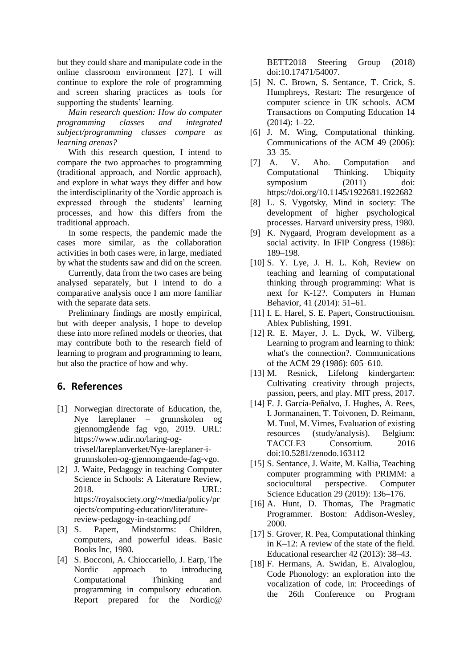but they could share and manipulate code in the online classroom environment [27]. I will continue to explore the role of programming and screen sharing practices as tools for supporting the students' learning.

*Main research question: How do computer programming classes and integrated subject/programming classes compare as learning arenas?*

With this research question, I intend to compare the two approaches to programming (traditional approach, and Nordic approach), and explore in what ways they differ and how the interdisciplinarity of the Nordic approach is expressed through the students' learning processes, and how this differs from the traditional approach.

In some respects, the pandemic made the cases more similar, as the collaboration activities in both cases were, in large, mediated by what the students saw and did on the screen.

Currently, data from the two cases are being analysed separately, but I intend to do a comparative analysis once I am more familiar with the separate data sets.

Preliminary findings are mostly empirical, but with deeper analysis, I hope to develop these into more refined models or theories, that may contribute both to the research field of learning to program and programming to learn, but also the practice of how and why.

# **6. References**

- [1] Norwegian directorate of Education, the, Nye læreplaner – grunnskolen og gjennomgående fag vgo, 2019. URL: https://www.udir.no/laring-ogtrivsel/lareplanverket/Nye-lareplaner-igrunnskolen-og-gjennomgaende-fag-vgo.
- [2] J. Waite, Pedagogy in teaching Computer Science in Schools: A Literature Review, 2018. URL: https://royalsociety.org/~/media/policy/pr ojects/computing-education/literaturereview-pedagogy-in-teaching.pdf
- [3] S. Papert, Mindstorms: Children, computers, and powerful ideas. Basic Books Inc, 1980.
- [4] S. Bocconi, A. Chioccariello, J. Earp, The Nordic approach to introducing Computational Thinking and programming in compulsory education. Report prepared for the Nordic@

BETT2018 Steering Group (2018) doi:10.17471/54007.

- [5] N. C. Brown, S. Sentance, T. Crick, S. Humphreys, Restart: The resurgence of computer science in UK schools. ACM Transactions on Computing Education 14 (2014): 1–22.
- [6] J. M. Wing, Computational thinking. Communications of the ACM 49 (2006): 33–35.
- [7] A. V. Aho. Computation and Computational Thinking. Ubiquity symposium (2011) doi: https://doi.org/10.1145/1922681.1922682
- [8] L. S. Vygotsky, Mind in society: The development of higher psychological processes. Harvard university press, 1980.
- [9] K. Nygaard, Program development as a social activity. In IFIP Congress (1986): 189–198.
- [10] S. Y. Lye, J. H. L. Koh, Review on teaching and learning of computational thinking through programming: What is next for K-12?. Computers in Human Behavior, 41 (2014): 51–61.
- [11] I. E. Harel, S. E. Papert, Constructionism. Ablex Publishing, 1991.
- [12] R. E. Mayer, J. L. Dyck, W. Vilberg, Learning to program and learning to think: what's the connection?. Communications of the ACM 29 (1986): 605–610.
- [13] M. Resnick, Lifelong kindergarten: Cultivating creativity through projects, passion, peers, and play. MIT press, 2017.
- [14] F. J. García-Peñalvo, J. Hughes, A. Rees, I. Jormanainen, T. Toivonen, D. Reimann, M. Tuul, M. Virnes, Evaluation of existing resources (study/analysis). Belgium: TACCLE3 Consortium. 2016 doi:10.5281/zenodo.163112
- [15] S. Sentance, J. Waite, M. Kallia, Teaching computer programming with PRIMM: a sociocultural perspective. Computer Science Education 29 (2019): 136–176.
- [16] A. Hunt, D. Thomas, The Pragmatic Programmer. Boston: Addison-Wesley, 2000.
- [17] S. Grover, R. Pea, Computational thinking in K–12: A review of the state of the field. Educational researcher 42 (2013): 38–43.
- [18] F. Hermans, A. Swidan, E. Aivaloglou, Code Phonology: an exploration into the vocalization of code, in: Proceedings of the 26th Conference on Program